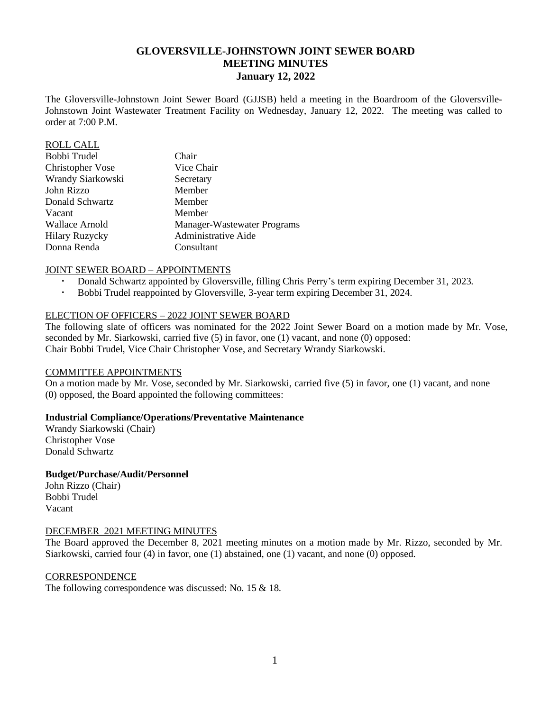# **GLOVERSVILLE-JOHNSTOWN JOINT SEWER BOARD MEETING MINUTES January 12, 2022**

The Gloversville-Johnstown Joint Sewer Board (GJJSB) held a meeting in the Boardroom of the Gloversville-Johnstown Joint Wastewater Treatment Facility on Wednesday, January 12, 2022. The meeting was called to order at 7:00 P.M.

| <b>ROLL CALL</b>        |                             |
|-------------------------|-----------------------------|
| Bobbi Trudel            | Chair                       |
| <b>Christopher Vose</b> | Vice Chair                  |
| Wrandy Siarkowski       | Secretary                   |
| John Rizzo              | Member                      |
| Donald Schwartz         | Member                      |
| Vacant                  | Member                      |
| Wallace Arnold          | Manager-Wastewater Programs |
| <b>Hilary Ruzycky</b>   | Administrative Aide         |
| Donna Renda             | Consultant                  |

#### JOINT SEWER BOARD – APPOINTMENTS

- Donald Schwartz appointed by Gloversville, filling Chris Perry's term expiring December 31, 2023.
- Bobbi Trudel reappointed by Gloversville, 3-year term expiring December 31, 2024.

## ELECTION OF OFFICERS – 2022 JOINT SEWER BOARD

The following slate of officers was nominated for the 2022 Joint Sewer Board on a motion made by Mr. Vose, seconded by Mr. Siarkowski, carried five (5) in favor, one (1) vacant, and none (0) opposed: Chair Bobbi Trudel, Vice Chair Christopher Vose, and Secretary Wrandy Siarkowski.

#### COMMITTEE APPOINTMENTS

On a motion made by Mr. Vose, seconded by Mr. Siarkowski, carried five (5) in favor, one (1) vacant, and none (0) opposed, the Board appointed the following committees:

#### **Industrial Compliance/Operations/Preventative Maintenance**

Wrandy Siarkowski (Chair) Christopher Vose Donald Schwartz

## **Budget/Purchase/Audit/Personnel**

John Rizzo (Chair) Bobbi Trudel Vacant

#### DECEMBER 2021 MEETING MINUTES

The Board approved the December 8, 2021 meeting minutes on a motion made by Mr. Rizzo, seconded by Mr. Siarkowski, carried four (4) in favor, one (1) abstained, one (1) vacant, and none (0) opposed.

**CORRESPONDENCE** 

The following correspondence was discussed: No. 15 & 18.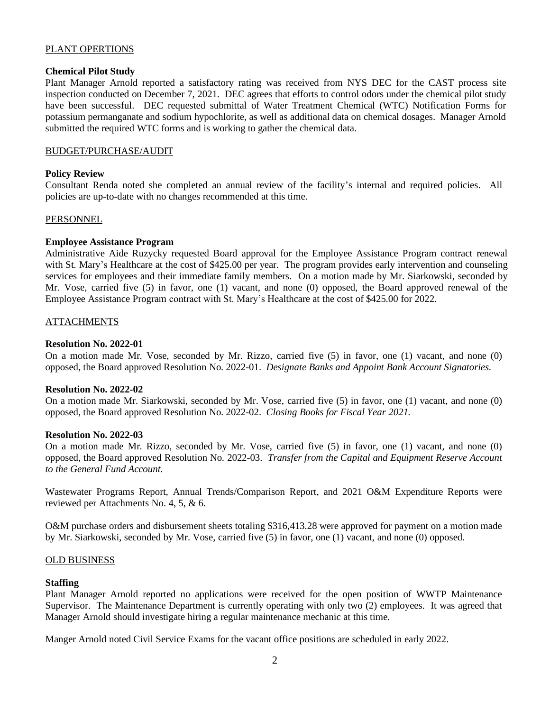# PLANT OPERTIONS

## **Chemical Pilot Study**

Plant Manager Arnold reported a satisfactory rating was received from NYS DEC for the CAST process site inspection conducted on December 7, 2021. DEC agrees that efforts to control odors under the chemical pilot study have been successful. DEC requested submittal of Water Treatment Chemical (WTC) Notification Forms for potassium permanganate and sodium hypochlorite, as well as additional data on chemical dosages. Manager Arnold submitted the required WTC forms and is working to gather the chemical data.

## BUDGET/PURCHASE/AUDIT

## **Policy Review**

Consultant Renda noted she completed an annual review of the facility's internal and required policies. All policies are up-to-date with no changes recommended at this time.

#### PERSONNEL

## **Employee Assistance Program**

Administrative Aide Ruzycky requested Board approval for the Employee Assistance Program contract renewal with St. Mary's Healthcare at the cost of \$425.00 per year. The program provides early intervention and counseling services for employees and their immediate family members. On a motion made by Mr. Siarkowski, seconded by Mr. Vose, carried five (5) in favor, one (1) vacant, and none (0) opposed, the Board approved renewal of the Employee Assistance Program contract with St. Mary's Healthcare at the cost of \$425.00 for 2022.

## ATTACHMENTS

#### **Resolution No. 2022-01**

On a motion made Mr. Vose, seconded by Mr. Rizzo, carried five (5) in favor, one (1) vacant, and none (0) opposed, the Board approved Resolution No. 2022-01. *Designate Banks and Appoint Bank Account Signatories.* 

### **Resolution No. 2022-02**

On a motion made Mr. Siarkowski, seconded by Mr. Vose, carried five (5) in favor, one (1) vacant, and none (0) opposed, the Board approved Resolution No. 2022-02. *Closing Books for Fiscal Year 2021.*

#### **Resolution No. 2022-03**

On a motion made Mr. Rizzo, seconded by Mr. Vose, carried five (5) in favor, one (1) vacant, and none (0) opposed, the Board approved Resolution No. 2022-03. *Transfer from the Capital and Equipment Reserve Account to the General Fund Account.*

Wastewater Programs Report, Annual Trends/Comparison Report, and 2021 O&M Expenditure Reports were reviewed per Attachments No. 4, 5, & 6.

O&M purchase orders and disbursement sheets totaling \$316,413.28 were approved for payment on a motion made by Mr. Siarkowski, seconded by Mr. Vose, carried five (5) in favor, one (1) vacant, and none (0) opposed.

## OLD BUSINESS

#### **Staffing**

Plant Manager Arnold reported no applications were received for the open position of WWTP Maintenance Supervisor. The Maintenance Department is currently operating with only two (2) employees. It was agreed that Manager Arnold should investigate hiring a regular maintenance mechanic at this time.

Manger Arnold noted Civil Service Exams for the vacant office positions are scheduled in early 2022.